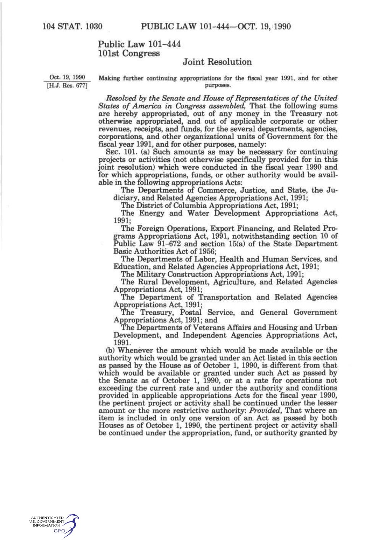## Public Law 101-444 101st Congress

## Joint Resolution

Oct. 19, 1990 Making further continuing appropriations for the fiscal year 1991, and for other [H.J. Res. 677] purposes.

> *Resolved by the Senate and House of Representatives of the United States of America in Congress assembled.* That the following sums are hereby appropriated, out of any money in the Treasury not otherwise appropriated, and out of applicable corporate or other revenues, receipte, and funds, for the several departments, agencies, corporations, and other organizational units of Government for the fiscal year 1991, and for other purposes, namely:

> SEC. 101. (a) Such amounts as may be necessary for continuing projects or activities (not otherwise specifically provided for in this joint resolution) which were conducted in the fiscal year 1990 and for which appropriations, funds, or other authority would be available in the following appropriations Acts:

The Departments of Commerce, Justice, and State, the Judiciary, and Related Agencies Appropriations Act, 1991;

The District of Columbia Appropriations Act, 1991;

The Energy and Water Development Appropriations Act, 1991;

The Foreign Operations, Export Financing, and Related Programs Appropriations Act, 1991, notwithstanding section 10 of Public Law 91-672 and section 15(a) of the State Department Basic Authorities Act of 1956;

The Departments of Labor, Health and Human Services, and Education, and Related Agencies Appropriations Act, 1991;

The Military Construction Appropriations Act, 1991;

The Rural Development, Agriculture, and Related Agencies Appropriations Act, 1991;

The Department of Transportation and Related Agencies Appropriations Act, 1991;

The Treasury, Postal Service, and General Government Appropriations Act, 1991; and

The Departments of Veterans Affairs and Housing and Urban Development, and Independent Agencies Appropriations Act, 1991.

(b) Whenever the amount which would be made available or the authority which would be granted under an Act listed in this section as passed by the House as of October 1, 1990, is different from that which would be available or granted under such Act as passed by the Senate as of October 1, 1990, or at a rate for operations not exceeding the current rate and under the authority and conditions provided in applicable appropriations Acts for the fiscal year 1990, the pertinent project or activity shall be continued under the lesser amount or the more restrictive authority: *Provided,* That where an item is included in only one version of an Act as passed by both Houses as of October 1, 1990, the pertinent project or activity shall be continued under the appropriation, fund, or authority granted by

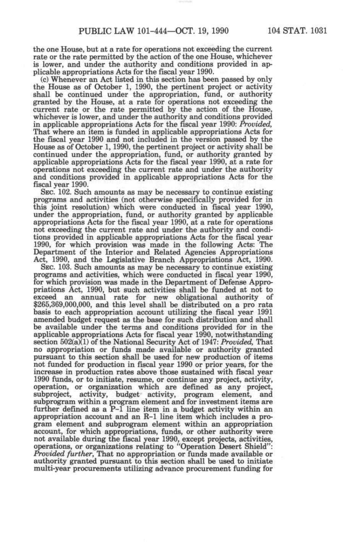the one House, but at a rate for operations not exceeding the current rate or the rate permitted by the action of the one House, whichever is lower, and under the authority and conditions provided in applicable appropriations Acts for the fiscal year 1990.

(c) Whenever an Act listed in this section has been passed by only the House as of October 1, 1990, the pertinent project or activity shall be continued under the appropriation, fund, or authority granted by the House, at a rate for operations not exceeding the current rate or the rate permitted by the action of the House, whichever is lower, and under the authority and conditions provided in applicable appropriations Acts for the fiscal year 1990: *Provided,*  That where an item is funded in applicable appropriations Acts for the fiscal year 1990 and not included in the version passed by the House as of October 1,1990, the pertinent project or activity shall be continued under the appropriation, fund, or authority granted by applicable appropriations Acts for the fiscal year 1990, at a rate for operations not exceeding the current rate and under the authority and conditions provided in applicable appropriations Acts for the fiscal year 1990.

SEC. 102. Such amounts as may be necessary to continue existing programs and activities (not otherwise specifically provided for in this joint resolution) which were conducted in fiscal year 1990, under the appropriation, fund, or authority granted by applicable appropriations Acts for the fiscal year 1990, at a rate for operations not exceeding the current rate and under the authority and conditions provided in applicable appropriations Acts for the fiscal year 1990, for which provision was made in the following Acts: The Department of the Interior and Related Agencies Appropriations Act, 1990, and the Legislative Branch Appropriations Act, 1990.

SEC. 103. Such amounts as may be necessary to continue existing programs and activities, which were conducted in fiscal year 1990, for which provision was made in the Department of Defense Appropriations Act, 1990, but such activities shall be funded at not to exceed an annual rate for new obligational authority of \$265,369,000,000, and this level shall be distributed on a pro rata basis to each appropriation account utilizing the fiscal year 1991 amended budget request as the base for such distribution and shall be available under the terms and conditions provided for in the applicable appropriations Acts for fiscal year 1990, notwithstanding section 502(a)(1) of the National Security Act of 1947: *Provided,* That no appropriation or funds made available or authority granted pursuant to this section shall be used for new production of items not funded for production in fiscal year 1990 or prior years, for the increase in production rates above those sustained with fiscal year 1990 funds, or to initiate, resume, or continue any project, activity, operation, or organization which are defined as any project, subproject, activity, budget activity, program element, and subprogram within a program element and for investment items are further defined as a P-1 line item in a budget activity within an appropriation account and an R-1 line item which includes a program element and subprogram element within an appropriation account, for which appropriations, funds, or other authority were not available during the fiscal year 1990, except projects, activities, operations, or organizations relating to "Operation Desert Shield": *Provided further,* That no appropriation or funds made available or authority granted pursuant to this section shall be used to initiate multi-year procurements utilizing advance procurement funding for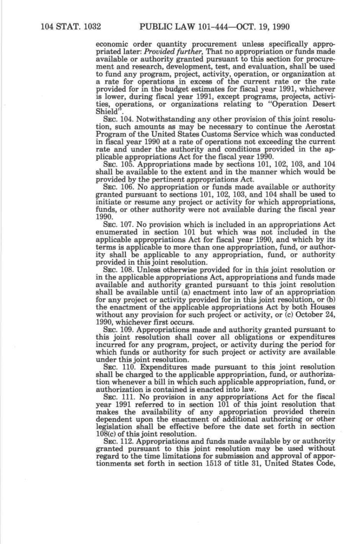economic order quantity procurement unless specifically appropriated later: *Provided further,* That no appropriation or funds made available or authority granted pursuant to this section for procurement and research, development, test, and evaluation, shall be used to fund any program, project, activity, operation, or organization at a rate for operations in excess of the current rate or the rate provided for in the budget estimates for fiscal year 1991, whichever is lower, during fiscal year 1991, except programs, projects, activities, operations, or organizations relating to "Operation Desert Shield"

SEC. 104, Notwithstanding any other provision of this joint resolution, such amounts as may be necessary to continue the Aerostat Program of the United States Customs Service which was conducted in fiscal year 1990 at a rate of operations not exceeding the current rate and under the authority and conditions provided in the applicable appropriations Act for the fiscal year 1990.

SEC. 105. Appropriations made by sections 101, 102, 103, and 104 shall be available to the extent and in the manner which would be provided by the pertinent appropriations Act.

SEC. 106. No appropriation or funds made available or authority granted pursuant to sections 101, 102, 103, and 104 shall be used to initiate or resume any project or activity for which appropriations, funds, or other authority were not available during the fiscal year 1990.

SEC. 107. No provision which is included in an appropriations Act enumerated in section 101 but which was not included in the applicable appropriations Act for fiscal year 1990, and which by its terms is applicable to more than one appropriation, fund, or authority shall be applicable to any appropriation, fund, or authority provided in this joint resolution.

SEC. 108. Unless otherwise provided for in this joint resolution or in the applicable appropriations Act, appropriations and funds made available and authority granted pursuant to this joint resolution shall be available until (a) enactment into law of an appropriation for any project or activity provided for in this joint resolution, or *Qo)*  the enactment of the applicable appropriations Act by both Houses without any provision for such project or activity, or (c) October 24, 1990, whichever first occurs.

SEC. 109. Appropriations made and authority granted pursuant to this joint resolution shall cover all obligations or expenditures incurred for any program, project, or activity during the period for which funds or authority for such project or activity are available under this joint resolution.

SEC. 110. Expenditures made pursuant to this joint resolution shall be charged to the applicable appropriation, fund, or authorization whenever a bill in which such applicable appropriation, fund, or authorization is contained is enacted into law.

SEC. 111. No provision in any appropriations Act for the fiscal year 1991 referred to in section 101 of this joint resolution that makes the availability of any appropriation provided therein dependent upon the enactment of additional authorizing or other legislation shall be effective before the date set forth in section 108(c) of this joint resolution.

SEC. 112. Appropriations and funds made available by or authority granted pursuant to this joint resolution may be used without regard to the time limitations for submission and approval of apportionments set forth in section 1513 of title 31, United States Code,